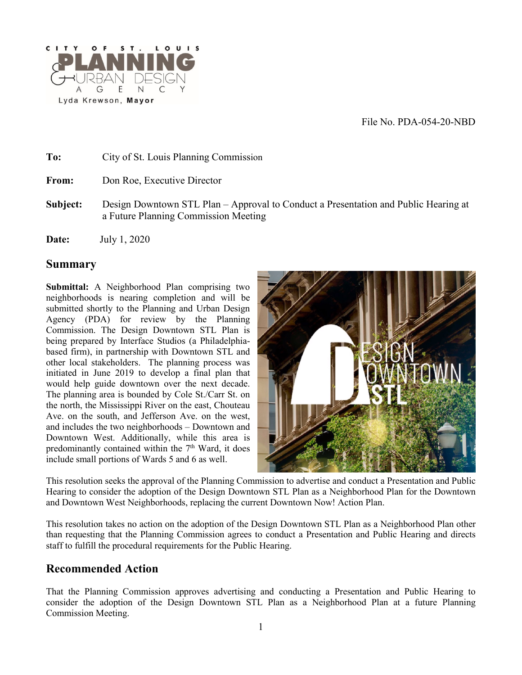File No. PDA-054-20-NBD



**To:** City of St. Louis Planning Commission From: Don Roe, Executive Director **Subject:** Design Downtown STL Plan – Approval to Conduct a Presentation and Public Hearing at a Future Planning Commission Meeting **Date:** July 1, 2020

#### **Summary**

**Submittal:** A Neighborhood Plan comprising two neighborhoods is nearing completion and will be submitted shortly to the Planning and Urban Design Agency (PDA) for review by the Planning Commission. The Design Downtown STL Plan is being prepared by Interface Studios (a Philadelphiabased firm), in partnership with Downtown STL and other local stakeholders. The planning process was initiated in June 2019 to develop a final plan that would help guide downtown over the next decade. The planning area is bounded by Cole St./Carr St. on the north, the Mississippi River on the east, Chouteau Ave. on the south, and Jefferson Ave. on the west, and includes the two neighborhoods – Downtown and Downtown West. Additionally, while this area is predominantly contained within the  $7<sup>th</sup>$  Ward, it does include small portions of Wards 5 and 6 as well.



This resolution seeks the approval of the Planning Commission to advertise and conduct a Presentation and Public Hearing to consider the adoption of the Design Downtown STL Plan as a Neighborhood Plan for the Downtown and Downtown West Neighborhoods, replacing the current Downtown Now! Action Plan.

This resolution takes no action on the adoption of the Design Downtown STL Plan as a Neighborhood Plan other than requesting that the Planning Commission agrees to conduct a Presentation and Public Hearing and directs staff to fulfill the procedural requirements for the Public Hearing.

# **Recommended Action**

That the Planning Commission approves advertising and conducting a Presentation and Public Hearing to consider the adoption of the Design Downtown STL Plan as a Neighborhood Plan at a future Planning Commission Meeting.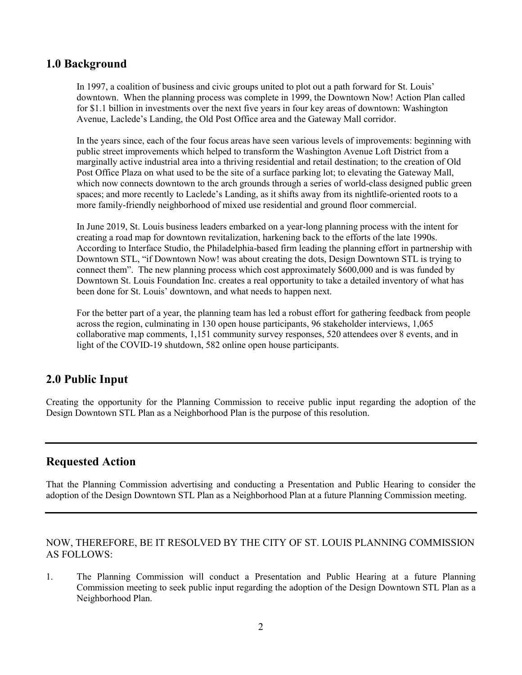### **1.0 Background**

In 1997, a coalition of business and civic groups united to plot out a path forward for St. Louis' downtown. When the planning process was complete in 1999, the Downtown Now! Action Plan called for \$1.1 billion in investments over the next five years in four key areas of downtown: Washington Avenue, Laclede's Landing, the Old Post Office area and the Gateway Mall corridor.

In the years since, each of the four focus areas have seen various levels of improvements: beginning with public street improvements which helped to transform the Washington Avenue Loft District from a marginally active industrial area into a thriving residential and retail destination; to the creation of Old Post Office Plaza on what used to be the site of a surface parking lot; to elevating the Gateway Mall, which now connects downtown to the arch grounds through a series of world-class designed public green spaces; and more recently to Laclede's Landing, as it shifts away from its nightlife-oriented roots to a more family-friendly neighborhood of mixed use residential and ground floor commercial.

In June 2019, St. Louis business leaders embarked on a year-long planning process with the intent for creating a road map for downtown revitalization, harkening back to the efforts of the late 1990s. According to Interface Studio, the Philadelphia-based firm leading the planning effort in partnership with Downtown STL, "if Downtown Now! was about creating the dots, Design Downtown STL is trying to connect them". The new planning process which cost approximately \$600,000 and is was funded by Downtown St. Louis Foundation Inc. creates a real opportunity to take a detailed inventory of what has been done for St. Louis' downtown, and what needs to happen next.

For the better part of a year, the planning team has led a robust effort for gathering feedback from people across the region, culminating in 130 open house participants, 96 stakeholder interviews, 1,065 collaborative map comments, 1,151 community survey responses, 520 attendees over 8 events, and in light of the COVID-19 shutdown, 582 online open house participants.

## **2.0 Public Input**

Creating the opportunity for the Planning Commission to receive public input regarding the adoption of the Design Downtown STL Plan as a Neighborhood Plan is the purpose of this resolution.

#### **Requested Action**

That the Planning Commission advertising and conducting a Presentation and Public Hearing to consider the adoption of the Design Downtown STL Plan as a Neighborhood Plan at a future Planning Commission meeting.

#### NOW, THEREFORE, BE IT RESOLVED BY THE CITY OF ST. LOUIS PLANNING COMMISSION AS FOLLOWS:

1. The Planning Commission will conduct a Presentation and Public Hearing at a future Planning Commission meeting to seek public input regarding the adoption of the Design Downtown STL Plan as a Neighborhood Plan.